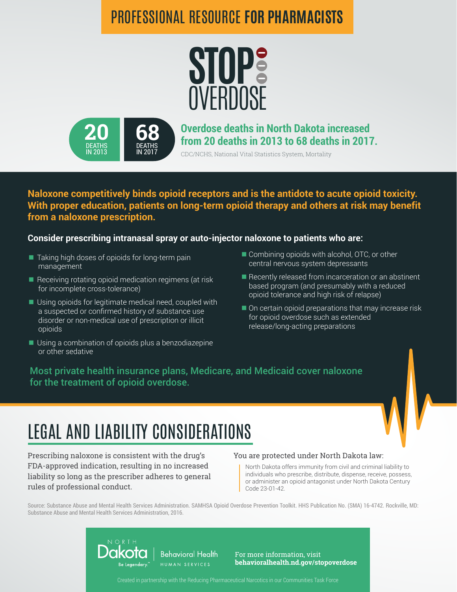## PROFESSIONAL RESOURCE **FOR PHARMACISTS**





**Overdose deaths in North Dakota increased from 20 deaths in 2013 to 68 deaths in 2017.**

CDC/NCHS, National Vital Statistics System, Mortality

**Naloxone competitively binds opioid receptors and is the antidote to acute opioid toxicity. With proper education, patients on long-term opioid therapy and others at risk may benefit from a naloxone prescription.** 

### **Consider prescribing intranasal spray or auto-injector naloxone to patients who are:**

- Taking high doses of opioids for long-term pain management
- $\blacksquare$  Receiving rotating opioid medication regimens (at risk for incomplete cross-tolerance)
- Using opioids for legitimate medical need, coupled with a suspected or confirmed history of substance use disorder or non-medical use of prescription or illicit opioids
- Using a combination of opioids plus a benzodiazepine or other sedative
- Combining opioids with alcohol, OTC, or other central nervous system depressants
- Recently released from incarceration or an abstinent based program (and presumably with a reduced opioid tolerance and high risk of relapse)
- On certain opioid preparations that may increase risk for opioid overdose such as extended release/long-acting preparations

Most private health insurance plans, Medicare, and Medicaid cover naloxone for the treatment of opioid overdose.

# LEGAL AND LIABILITY CONSIDERATIONS

Prescribing naloxone is consistent with the drug's FDA-approved indication, resulting in no increased liability so long as the prescriber adheres to general rules of professional conduct.

#### You are protected under North Dakota law:

North Dakota offers immunity from civil and criminal liability to individuals who prescribe, distribute, dispense, receive, possess, or administer an opioid antagonist under North Dakota Century Code 23-01-42.

Source: Substance Abuse and Mental Health Services Administration. SAMHSA Opioid Overdose Prevention Toolkit. HHS Publication No. (SMA) 16-4742. Rockville, MD: Substance Abuse and Mental Health Services Administration, 2016.



For more information, visit **behavioralhealth.nd.gov/stopoverdose**

Created in partnership with the Reducing Pharmaceutical Narcotics in our Communities Task Force